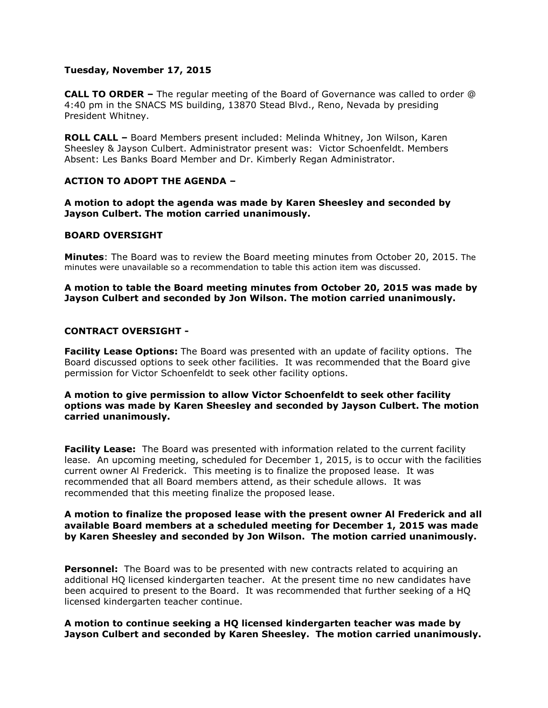## **Tuesday, November 17, 2015**

**CALL TO ORDER –** The regular meeting of the Board of Governance was called to order @ 4:40 pm in the SNACS MS building, 13870 Stead Blvd., Reno, Nevada by presiding President Whitney.

**ROLL CALL –** Board Members present included: Melinda Whitney, Jon Wilson, Karen Sheesley & Jayson Culbert. Administrator present was: Victor Schoenfeldt. Members Absent: Les Banks Board Member and Dr. Kimberly Regan Administrator.

## **ACTION TO ADOPT THE AGENDA –**

**A motion to adopt the agenda was made by Karen Sheesley and seconded by Jayson Culbert. The motion carried unanimously.** 

## **BOARD OVERSIGHT**

**Minutes**: The Board was to review the Board meeting minutes from October 20, 2015. The minutes were unavailable so a recommendation to table this action item was discussed.

## **A motion to table the Board meeting minutes from October 20, 2015 was made by Jayson Culbert and seconded by Jon Wilson. The motion carried unanimously.**

### **CONTRACT OVERSIGHT -**

**Facility Lease Options:** The Board was presented with an update of facility options. The Board discussed options to seek other facilities. It was recommended that the Board give permission for Victor Schoenfeldt to seek other facility options.

### **A motion to give permission to allow Victor Schoenfeldt to seek other facility options was made by Karen Sheesley and seconded by Jayson Culbert. The motion carried unanimously.**

**Facility Lease:** The Board was presented with information related to the current facility lease. An upcoming meeting, scheduled for December 1, 2015, is to occur with the facilities current owner Al Frederick. This meeting is to finalize the proposed lease. It was recommended that all Board members attend, as their schedule allows. It was recommended that this meeting finalize the proposed lease.

## **A motion to finalize the proposed lease with the present owner Al Frederick and all available Board members at a scheduled meeting for December 1, 2015 was made by Karen Sheesley and seconded by Jon Wilson. The motion carried unanimously.**

**Personnel:** The Board was to be presented with new contracts related to acquiring an additional HQ licensed kindergarten teacher. At the present time no new candidates have been acquired to present to the Board. It was recommended that further seeking of a HQ licensed kindergarten teacher continue.

## **A motion to continue seeking a HQ licensed kindergarten teacher was made by Jayson Culbert and seconded by Karen Sheesley. The motion carried unanimously.**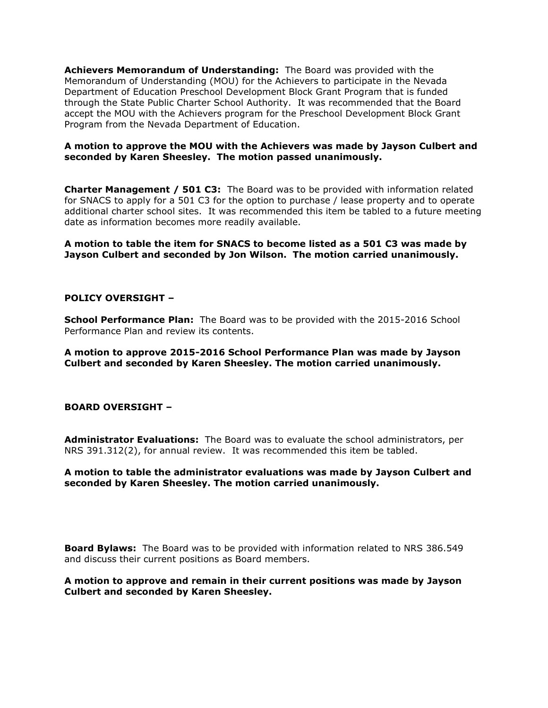**Achievers Memorandum of Understanding:** The Board was provided with the Memorandum of Understanding (MOU) for the Achievers to participate in the Nevada Department of Education Preschool Development Block Grant Program that is funded through the State Public Charter School Authority. It was recommended that the Board accept the MOU with the Achievers program for the Preschool Development Block Grant Program from the Nevada Department of Education.

## **A motion to approve the MOU with the Achievers was made by Jayson Culbert and seconded by Karen Sheesley. The motion passed unanimously.**

**Charter Management / 501 C3:** The Board was to be provided with information related for SNACS to apply for a 501 C3 for the option to purchase / lease property and to operate additional charter school sites. It was recommended this item be tabled to a future meeting date as information becomes more readily available.

**A motion to table the item for SNACS to become listed as a 501 C3 was made by Jayson Culbert and seconded by Jon Wilson. The motion carried unanimously.** 

## **POLICY OVERSIGHT –**

**School Performance Plan:** The Board was to be provided with the 2015-2016 School Performance Plan and review its contents.

**A motion to approve 2015-2016 School Performance Plan was made by Jayson Culbert and seconded by Karen Sheesley. The motion carried unanimously.**

### **BOARD OVERSIGHT –**

**Administrator Evaluations:** The Board was to evaluate the school administrators, per NRS 391.312(2), for annual review. It was recommended this item be tabled.

## **A motion to table the administrator evaluations was made by Jayson Culbert and seconded by Karen Sheesley. The motion carried unanimously.**

**Board Bylaws:** The Board was to be provided with information related to NRS 386.549 and discuss their current positions as Board members.

### **A motion to approve and remain in their current positions was made by Jayson Culbert and seconded by Karen Sheesley.**